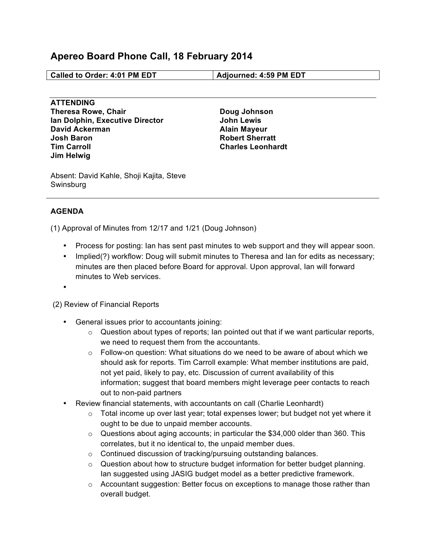## **Apereo Board Phone Call, 18 February 2014**

**Called to Order: 4:01 PM EDT Adjourned: 4:59 PM EDT**

**ATTENDING Theresa Rowe, Chair Ian Dolphin, Executive Director David Ackerman Josh Baron Tim Carroll Jim Helwig**

**Doug Johnson John Lewis Alain Mayeur Robert Sherratt Charles Leonhardt**

Absent: David Kahle, Shoji Kajita, Steve Swinsburg

## **AGENDA**

(1) Approval of Minutes from 12/17 and 1/21 (Doug Johnson)

- Process for posting: Ian has sent past minutes to web support and they will appear soon.
- Implied(?) workflow: Doug will submit minutes to Theresa and Ian for edits as necessary; minutes are then placed before Board for approval. Upon approval, Ian will forward minutes to Web services.

•

(2) Review of Financial Reports

- General issues prior to accountants joining:
	- o Question about types of reports; Ian pointed out that if we want particular reports, we need to request them from the accountants.
	- $\circ$  Follow-on question: What situations do we need to be aware of about which we should ask for reports. Tim Carroll example: What member institutions are paid, not yet paid, likely to pay, etc. Discussion of current availability of this information; suggest that board members might leverage peer contacts to reach out to non-paid partners
- Review financial statements, with accountants on call (Charlie Leonhardt)
	- $\circ$  Total income up over last year; total expenses lower; but budget not yet where it ought to be due to unpaid member accounts.
	- $\circ$  Questions about aging accounts; in particular the \$34,000 older than 360. This correlates, but it no identical to, the unpaid member dues.
	- o Continued discussion of tracking/pursuing outstanding balances.
	- $\circ$  Question about how to structure budget information for better budget planning. Ian suggested using JASIG budget model as a better predictive framework.
	- $\circ$  Accountant suggestion: Better focus on exceptions to manage those rather than overall budget.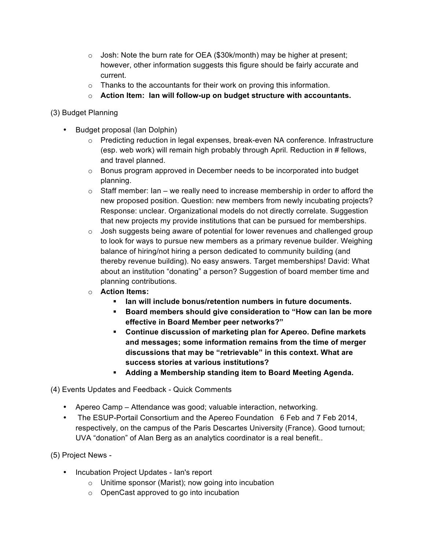- $\circ$  Josh: Note the burn rate for OEA (\$30k/month) may be higher at present; however, other information suggests this figure should be fairly accurate and current.
- o Thanks to the accountants for their work on proving this information.
- o **Action Item: Ian will follow-up on budget structure with accountants.**

(3) Budget Planning

- Budget proposal (Ian Dolphin)
	- $\circ$  Predicting reduction in legal expenses, break-even NA conference. Infrastructure (esp. web work) will remain high probably through April. Reduction in # fellows, and travel planned.
	- $\circ$  Bonus program approved in December needs to be incorporated into budget planning.
	- $\circ$  Staff member: Ian we really need to increase membership in order to afford the new proposed position. Question: new members from newly incubating projects? Response: unclear. Organizational models do not directly correlate. Suggestion that new projects my provide institutions that can be pursued for memberships.
	- o Josh suggests being aware of potential for lower revenues and challenged group to look for ways to pursue new members as a primary revenue builder. Weighing balance of hiring/not hiring a person dedicated to community building (and thereby revenue building). No easy answers. Target memberships! David: What about an institution "donating" a person? Suggestion of board member time and planning contributions.
	- o **Action Items:**
		- ! **Ian will include bonus/retention numbers in future documents.**
		- ! **Board members should give consideration to "How can Ian be more effective in Board Member peer networks?"**
		- ! **Continue discussion of marketing plan for Apereo. Define markets and messages; some information remains from the time of merger discussions that may be "retrievable" in this context. What are success stories at various institutions?**
		- ! **Adding a Membership standing item to Board Meeting Agenda.**

(4) Events Updates and Feedback - Quick Comments

- Apereo Camp Attendance was good; valuable interaction, networking.
- The ESUP-Portail Consortium and the Apereo Foundation 6 Feb and 7 Feb 2014, respectively, on the campus of the Paris Descartes University (France). Good turnout; UVA "donation" of Alan Berg as an analytics coordinator is a real benefit..

(5) Project News -

- Incubation Project Updates Ian's report
	- o Unitime sponsor (Marist); now going into incubation
	- o OpenCast approved to go into incubation